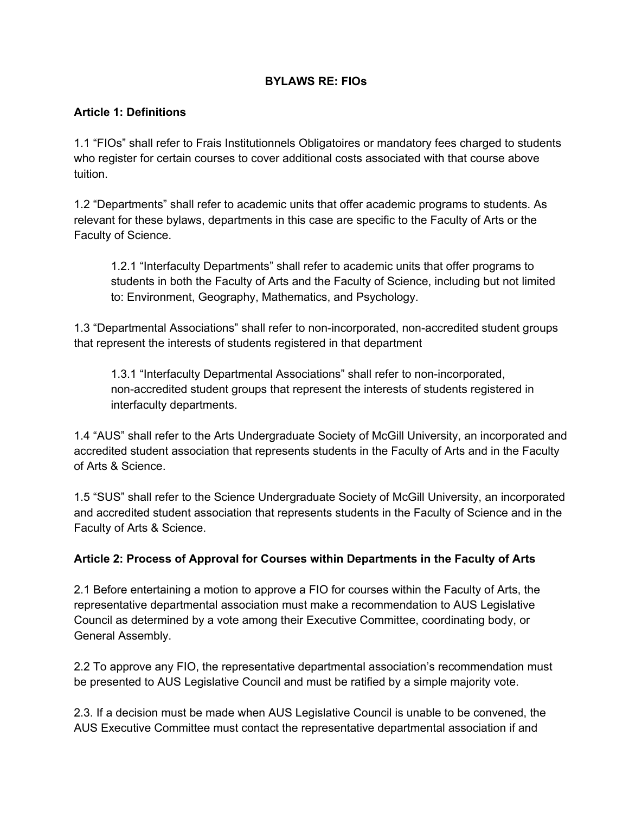## **BYLAWS RE: FIOs**

#### **Article 1: Definitions**

1.1 "FIOs" shall refer to Frais Institutionnels Obligatoires or mandatory fees charged to students who register for certain courses to cover additional costs associated with that course above tuition.

1.2 "Departments" shall refer to academic units that offer academic programs to students. As relevant for these bylaws, departments in this case are specific to the Faculty of Arts or the Faculty of Science.

1.2.1 "Interfaculty Departments" shall refer to academic units that offer programs to students in both the Faculty of Arts and the Faculty of Science, including but not limited to: Environment, Geography, Mathematics, and Psychology.

1.3 "Departmental Associations" shall refer to non-incorporated, non-accredited student groups that represent the interests of students registered in that department

1.3.1 "Interfaculty Departmental Associations" shall refer to nonincorporated, non-accredited student groups that represent the interests of students registered in interfaculty departments.

1.4 "AUS" shall refer to the Arts Undergraduate Society of McGill University, an incorporated and accredited student association that represents students in the Faculty of Arts and in the Faculty of Arts & Science.

1.5 "SUS" shall refer to the Science Undergraduate Society of McGill University, an incorporated and accredited student association that represents students in the Faculty of Science and in the Faculty of Arts & Science.

## **Article 2: Process of Approval for Courses within Departments in the Faculty of Arts**

2.1 Before entertaining a motion to approve a FIO for courses within the Faculty of Arts, the representative departmental association must make a recommendation to AUS Legislative Council as determined by a vote among their Executive Committee, coordinating body, or General Assembly.

2.2 To approve any FIO, the representative departmental association's recommendation must be presented to AUS Legislative Council and must be ratified by a simple majority vote.

2.3. If a decision must be made when AUS Legislative Council is unable to be convened, the AUS Executive Committee must contact the representative departmental association if and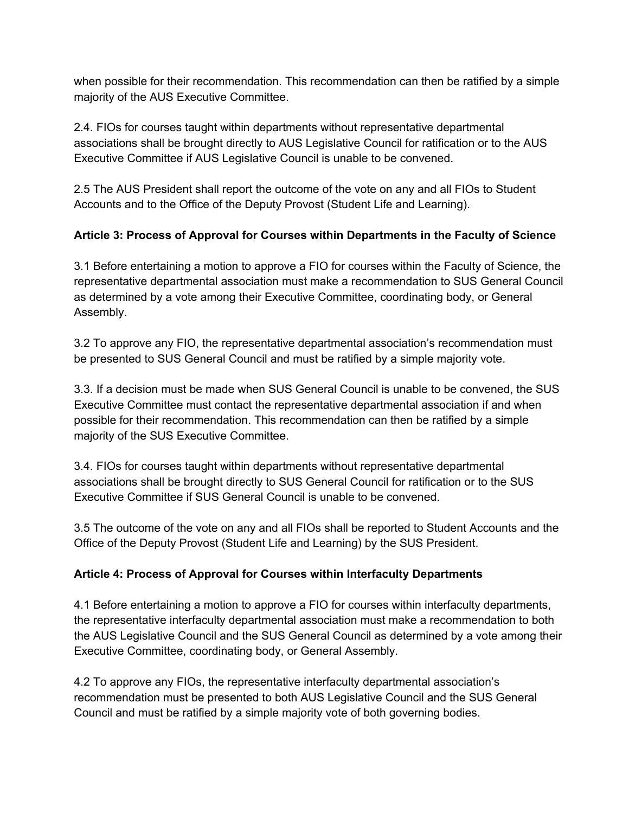when possible for their recommendation. This recommendation can then be ratified by a simple majority of the AUS Executive Committee.

2.4. FIOs for courses taught within departments without representative departmental associations shall be brought directly to AUS Legislative Council for ratification or to the AUS Executive Committee if AUS Legislative Council is unable to be convened.

2.5 The AUS President shall report the outcome of the vote on any and all FIOs to Student Accounts and to the Office of the Deputy Provost (Student Life and Learning).

# **Article 3: Process of Approval for Courses within Departments in the Faculty of Science**

3.1 Before entertaining a motion to approve a FIO for courses within the Faculty of Science, the representative departmental association must make a recommendation to SUS General Council as determined by a vote among their Executive Committee, coordinating body, or General Assembly.

3.2 To approve any FIO, the representative departmental association's recommendation must be presented to SUS General Council and must be ratified by a simple majority vote.

3.3. If a decision must be made when SUS General Council is unable to be convened, the SUS Executive Committee must contact the representative departmental association if and when possible for their recommendation. This recommendation can then be ratified by a simple majority of the SUS Executive Committee.

3.4. FIOs for courses taught within departments without representative departmental associations shall be brought directly to SUS General Council for ratification or to the SUS Executive Committee if SUS General Council is unable to be convened.

3.5 The outcome of the vote on any and all FIOs shall be reported to Student Accounts and the Office of the Deputy Provost (Student Life and Learning) by the SUS President.

## **Article 4: Process of Approval for Courses within Interfaculty Departments**

4.1 Before entertaining a motion to approve a FIO for courses within interfaculty departments, the representative interfaculty departmental association must make a recommendation to both the AUS Legislative Council and the SUS General Council as determined by a vote among their Executive Committee, coordinating body, or General Assembly.

4.2 To approve any FIOs, the representative interfaculty departmental association's recommendation must be presented to both AUS Legislative Council and the SUS General Council and must be ratified by a simple majority vote of both governing bodies.